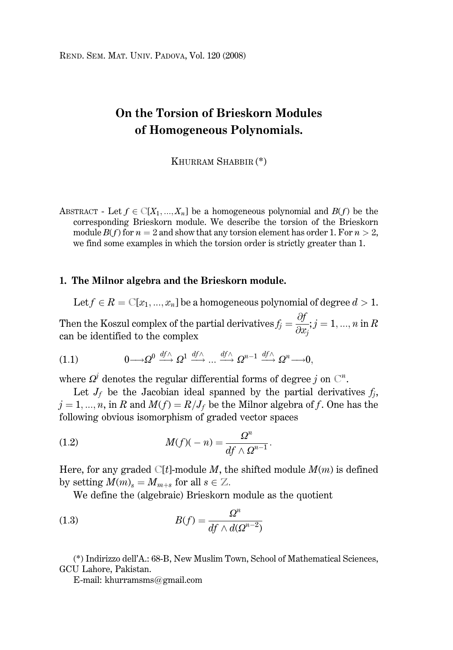# On the Torsion of Brieskorn Modules of Homogeneous Polynomials.

KHURRAM SHABBIR (\*)

ABSTRACT - Let  $f \in \mathbb{C}[X_1, ..., X_n]$  be a homogeneous polynomial and  $B(f)$  be the corresponding Brieskorn module. We describe the torsion of the Brieskorn module  $B(f)$  for  $n = 2$  and show that any torsion element has order 1. For  $n > 2$ , we find some examples in which the torsion order is strictly greater than 1.

### 1. The Milnor algebra and the Brieskorn module.

Let  $f \in R = \mathbb{C}[x_1, ..., x_n]$  be a homogeneous polynomial of degree  $d > 1$ .

Then the Koszul complex of the partial derivatives  $f_j = \frac{\partial f}{\partial x_j}$ ;  $j = 1, ..., n$  in R can be identified to the complex

 $0 \longrightarrow Q^0 \stackrel{df \wedge}{\longrightarrow} Q^1 \stackrel{df \wedge}{\longrightarrow} \dots \stackrel{df \wedge}{\longrightarrow} Q^{n-1} \stackrel{df \wedge}{\longrightarrow} Q^n \longrightarrow 0.$  $(1.1)$ 

where  $\Omega^j$  denotes the regular differential forms of degree j on  $\mathbb{C}^n$ .

Let  $J_f$  be the Jacobian ideal spanned by the partial derivatives  $f_i$ ,  $j = 1, ..., n$ , in R and  $M(f) = R/J_f$  be the Milnor algebra of f. One has the following obvious isomorphism of graded vector spaces

(1.2) 
$$
M(f)(-n) = \frac{\Omega^n}{df \wedge \Omega^{n-1}}.
$$

Here, for any graded  $\mathbb{C}[t]$ -module M, the shifted module  $M(m)$  is defined by setting  $M(m)_{s} = M_{m+s}$  for all  $s \in \mathbb{Z}$ .

We define the (algebraic) Brieskorn module as the quotient

(1.3) 
$$
B(f) = \frac{\Omega^n}{df \wedge d(\Omega^{n-2})}
$$

(\*) Indirizzo dell'A.: 68-B, New Muslim Town, School of Mathematical Sciences, GCU Lahore, Pakistan.

E-mail: khurramsms@gmail.com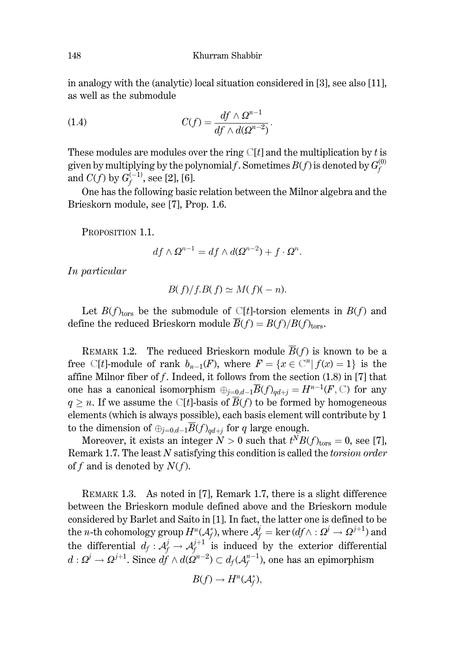in analogy with the (analytic) local situation considered in [3], see also [11]. as well as the submodule

(1.4) 
$$
C(f) = \frac{df \wedge Q^{n-1}}{df \wedge d(Q^{n-2})}.
$$

These modules are modules over the ring  $\mathbb{C}[t]$  and the multiplication by t is given by multiplying by the polynomial f. Sometimes  $B(f)$  is denoted by  $G_f^{(0)}$ and  $C(f)$  by  $G_f^{(-1)}$ , see [2], [6].

One has the following basic relation between the Milnor algebra and the Brieskorn module, see [7], Prop. 1.6.

PROPOSITION 1.1.

$$
df \wedge \Omega^{n-1} = df \wedge d(\Omega^{n-2}) + f \cdot \Omega^n.
$$

In particular

$$
B(f)/f.B(f) \simeq M(f)(-n).
$$

Let  $B(f)_{\text{tors}}$  be the submodule of C[t]-torsion elements in  $B(f)$  and define the reduced Brieskorn module  $\overline{B}(f) = B(f)/B(f)_{\text{tors}}$ .

REMARK 1.2. The reduced Brieskorn module  $\overline{B}(f)$  is known to be a free C[t]-module of rank  $b_{n-1}(F)$ , where  $F = \{x \in \mathbb{C}^n | f(x) = 1\}$  is the affine Milnor fiber of  $f$ . Indeed, it follows from the section  $(1.8)$  in [7] that one has a canonical isomorphism  $\oplus_{i=0,d-1} \overline{B}(f)_{ad+i} = H^{n-1}(F,\mathbb{C})$  for any  $q \geq n$ . If we assume the C[t]-basis of  $\overline{B}(f)$  to be formed by homogeneous elements (which is always possible), each basis element will contribute by 1 to the dimension of  $\oplus_{j=0,d-1} \overline{B}(f)_{qd+j}$  for q large enough.

Moreover, it exists an integer  $N > 0$  such that  $t^N B(f)_{\text{tors}} = 0$ , see [7], Remark 1.7. The least N satisfying this condition is called the *torsion order* of f and is denoted by  $N(f)$ .

REMARK 1.3. As noted in [7], Remark 1.7, there is a slight difference between the Brieskorn module defined above and the Brieskorn module considered by Barlet and Saito in [1]. In fact, the latter one is defined to be the *n*-th cohomology group  $H^n(\mathcal{A}_f^*)$ , where  $\mathcal{A}_f^j = \ker(df \wedge : \Omega^j \to \Omega^{j+1})$  and the differential  $d_f: \mathcal{A}_f^j \to \mathcal{A}_f^{j+1}$  is induced by the exterior differential  $d: \Omega^j \to \Omega^{j+1}$ . Since  $df \wedge d(\Omega^{n-2}) \subset d_f(\mathcal{A}_f^{n-1})$ , one has an epimorphism

$$
B(f) \to H^n(\mathcal{A}_f^*),
$$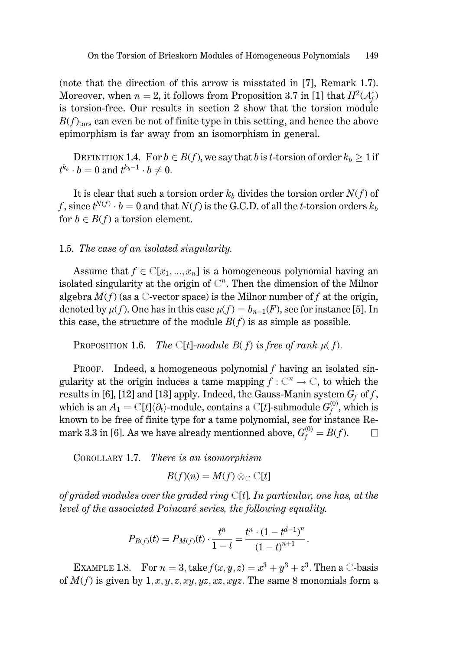(note that the direction of this arrow is misstated in [7], Remark 1.7). Moreover, when  $n = 2$ , it follows from Proposition 3.7 in [1] that  $H^2(\mathcal{A}_{\epsilon}^*)$ is torsion-free. Our results in section 2 show that the torsion module  $B(f)_{\text{tors}}$  can even be not of finite type in this setting, and hence the above epimorphism is far away from an isomorphism in general.

DEFINITION 1.4. For  $b \in B(f)$ , we say that b is t-torsion of order  $k_b \geq 1$  if  $t^{k_b} \cdot b = 0$  and  $t^{k_b-1} \cdot b \neq 0$ .

It is clear that such a torsion order  $k_b$  divides the torsion order  $N(f)$  of f, since  $t^{N(f)} \cdot b = 0$  and that  $N(f)$  is the G.C.D. of all the t-torsion orders  $k_b$ for  $b \in B(f)$  a torsion element.

## 1.5. The case of an isolated singularity.

Assume that  $f \in \mathbb{C}[x_1, ..., x_n]$  is a homogeneous polynomial having an isolated singularity at the origin of  $\mathbb{C}^n$ . Then the dimension of the Milnor algebra  $M(f)$  (as a C-vector space) is the Milnor number of f at the origin, denoted by  $\mu(f)$ . One has in this case  $\mu(f) = b_{n-1}(F)$ , see for instance [5]. In this case, the structure of the module  $B(f)$  is as simple as possible.

The  $\mathbb{C}[t]$ -module  $B(f)$  is free of rank  $\mu(f)$ . PROPOSITION 1.6.

PROOF. Indeed, a homogeneous polynomial  $f$  having an isolated singularity at the origin induces a tame mapping  $f: \mathbb{C}^n \to \mathbb{C}$ , to which the results in [6], [12] and [13] apply. Indeed, the Gauss-Manin system  $G_f$  of f, which is an  $A_1 = \mathbb{C}[t] \langle \partial_t \rangle$ -module, contains a  $\mathbb{C}[t]$ -submodule  $G_f^{(0)}$ , which is known to be free of finite type for a tame polynomial, see for instance Remark 3.3 in [6]. As we have already mentionned above,  $G_f^{(0)} = B(f)$ .  $\Box$ 

COROLLARY 1.7. There is an isomorphism

$$
B(f)(n) = M(f) \otimes_{\mathbb{C}} \mathbb{C}[t]
$$

of graded modules over the graded ring  $\mathbb{C}[t]$ . In particular, one has, at the level of the associated Poincaré series, the following equality.

$$
P_{B(f)}(t) = P_{M(f)}(t) \cdot \frac{t^n}{1-t} = \frac{t^n \cdot (1-t^{d-1})^n}{(1-t)^{n+1}}
$$

EXAMPLE 1.8. For  $n = 3$ , take  $f(x, y, z) = x^3 + y^3 + z^3$ . Then a C-basis of  $M(f)$  is given by 1, x, y, z, xy, yz, xz, xyz. The same 8 monomials form a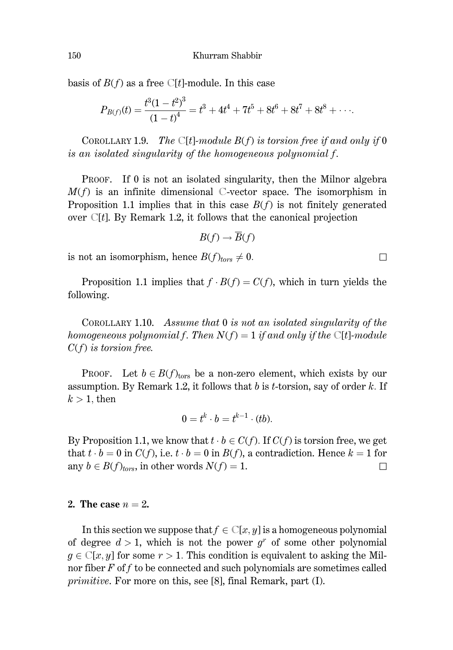basis of  $B(f)$  as a free C[t]-module. In this case

$$
P_{B(f)}(t) = \frac{t^3(1-t^2)^3}{(1-t)^4} = t^3 + 4t^4 + 7t^5 + 8t^6 + 8t^7 + 8t^8 + \cdots
$$

COROLLARY 1.9. The C[t]-module  $B(f)$  is torsion free if and only if 0 is an isolated singularity of the homogeneous polynomial f.

PROOF. If 0 is not an isolated singularity, then the Milnor algebra  $M(f)$  is an infinite dimensional C-vector space. The isomorphism in Proposition 1.1 implies that in this case  $B(f)$  is not finitely generated over  $C[t]$ . By Remark 1.2, it follows that the canonical projection

$$
B(f) \to \overline{B}(f)
$$

is not an isomorphism, hence  $B(f)_{tors} \neq 0$ .

Proposition 1.1 implies that  $f \cdot B(f) = C(f)$ , which in turn yields the following.

COROLLARY 1.10. Assume that  $0$  is not an isolated singularity of the homogeneous polynomial f. Then  $N(f) = 1$  if and only if the C[t]-module  $C(f)$  is torsion free.

**PROOF.** Let  $b \in B(f)_{tors}$  be a non-zero element, which exists by our assumption. By Remark 1.2, it follows that  $b$  is  $t$ -torsion, say of order  $k$ . If  $k > 1$ , then

$$
0=t^k\cdot b=t^{k-1}\cdot (tb).
$$

By Proposition 1.1, we know that  $t \cdot b \in C(f)$ . If  $C(f)$  is torsion free, we get that  $t \cdot b = 0$  in  $C(f)$ , i.e.  $t \cdot b = 0$  in  $B(f)$ , a contradiction. Hence  $k = 1$  for any  $b \in B(f)_{tors}$ , in other words  $N(f) = 1$ .  $\Box$ 

#### 2. The case  $n=2$ .

In this section we suppose that  $f \in \mathbb{C}[x, y]$  is a homogeneous polynomial of degree  $d > 1$ , which is not the power  $q^r$  of some other polynomial  $g \in \mathbb{C}[x, y]$  for some  $r > 1$ . This condition is equivalent to asking the Milnor fiber  $F$  of  $f$  to be connected and such polynomials are sometimes called *primitive.* For more on this, see [8], final Remark, part (I).

 $\Box$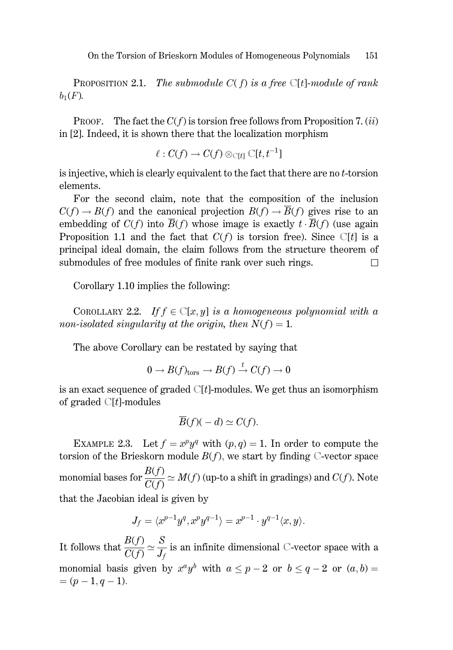On the Torsion of Brieskorn Modules of Homogeneous Polynomials 151

**PROPOSITION 2.1.** The submodule  $C(f)$  is a free  $C[t]$ -module of rank  $b_1(F)$ .

**PROOF.** The fact the  $C(f)$  is torsion free follows from Proposition 7. (ii) in [2]. Indeed, it is shown there that the localization morphism

$$
\ell:C(f)\to C(f)\otimes_{{\mathbb C}[t]}{\mathbb C}[t,t^{-1}]
$$

is injective, which is clearly equivalent to the fact that there are no t-torsion elements.

For the second claim, note that the composition of the inclusion  $C(f) \to B(f)$  and the canonical projection  $B(f) \to \overline{B}(f)$  gives rise to an embedding of  $C(f)$  into  $\overline{B}(f)$  whose image is exactly  $t \cdot \overline{B}(f)$  (use again Proposition 1.1 and the fact that  $C(f)$  is torsion free). Since  $C[t]$  is a principal ideal domain, the claim follows from the structure theorem of submodules of free modules of finite rank over such rings.  $\Box$ 

Corollary 1.10 implies the following:

COROLLARY 2.2. If  $f \in \mathbb{C}[x, y]$  is a homogeneous polynomial with a non-isolated singularity at the origin, then  $N(f) = 1$ .

The above Corollary can be restated by saying that

$$
0 \to B(f)_{\text{tors}} \to B(f) \stackrel{t}{\to} C(f) \to 0
$$

is an exact sequence of graded  $\mathbb{C}[t]$ -modules. We get thus an isomorphism of graded  $\mathbb{C}[t]$ -modules

$$
\overline{B}(f)(-d) \simeq C(f).
$$

EXAMPLE 2.3. Let  $f = x^p y^q$  with  $(p, q) = 1$ . In order to compute the torsion of the Brieskorn module  $B(f)$ , we start by finding C-vector space monomial bases for  $\frac{B(f)}{C(f)} \simeq M(f)$  (up-to a shift in gradings) and  $C(f)$ . Note that the Jacobian ideal is given by

$$
J_f = \langle x^{p-1}y^q, x^py^{q-1} \rangle = x^{p-1} \cdot y^{q-1} \langle x, y \rangle.
$$

It follows that  $\frac{B(f)}{C(f)} \simeq \frac{S}{J_f}$  is an infinite dimensional C-vector space with a monomial basis given by  $x^a y^b$  with  $a \leq p-2$  or  $b \leq q-2$  or  $(a, b) =$  $=(p-1,q-1).$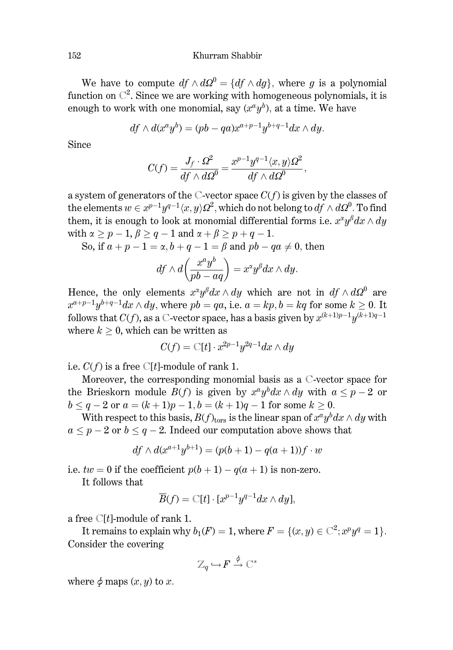Khurram Shabbir

We have to compute  $df \wedge d\Omega^0 = \{df \wedge dq\}$ , where q is a polynomial function on  $\mathbb{C}^2$ . Since we are working with homogeneous polynomials, it is enough to work with one monomial, say  $(x^a y^b)$ , at a time. We have

$$
df \wedge d(x^{a}y^{b}) = (pb - qa)x^{a+p-1}y^{b+q-1}dx \wedge dy.
$$

Since

$$
C(f) = \frac{J_f \cdot \Omega^2}{df \wedge d\Omega^0} = \frac{x^{p-1}y^{q-1} \langle x, y \rangle \Omega^2}{df \wedge d\Omega^0},
$$

a system of generators of the C-vector space  $C(f)$  is given by the classes of the elements  $w \in x^{p-1}y^{q-1}\langle x, y \rangle \Omega^2$ , which do not belong to  $df \wedge d\Omega^0$ . To find them, it is enough to look at monomial differential forms i.e.  $x^{\alpha}y^{\beta}dx \wedge du$ with  $\alpha \geq p-1$ ,  $\beta \geq q-1$  and  $\alpha + \beta \geq p+q-1$ .

So, if  $a+p-1=\alpha$ ,  $b+q-1=\beta$  and  $pb-qa\neq 0$ , then

$$
df \wedge d\left(\frac{x^a y^b}{pb-aq}\right) = x^{\alpha} y^{\beta} dx \wedge dy.
$$

Hence, the only elements  $x^{\alpha}y^{\beta}dx \wedge dy$  which are not in  $df \wedge d\Omega^{0}$  are  $x^{a+p-1}y^{b+q-1}dx \wedge dy$ , where  $pb = qa$ , i.e.  $a = kp$ ,  $b = kq$  for some  $k \ge 0$ . It follows that  $C(f)$ , as a C-vector space, has a basis given by  $x^{(k+1)p-1}y^{(k+1)q-1}$ where  $k > 0$ , which can be written as

$$
C(f) = \mathbb{C}[t] \cdot x^{2p-1} y^{2q-1} dx \wedge dy
$$

i.e.  $C(f)$  is a free C[t]-module of rank 1.

Moreover, the corresponding monomial basis as a C-vector space for the Brieskorn module  $B(f)$  is given by  $x^a y^b dx \wedge dy$  with  $a \leq p-2$  or  $b \leq q-2$  or  $a = (k+1)p-1, b = (k+1)q-1$  for some  $k \geq 0$ .

With respect to this basis,  $B(f)_{\text{tors}}$  is the linear span of  $x^a y^b dx \wedge dy$  with  $a \leq p-2$  or  $b \leq q-2$ . Indeed our computation above shows that

$$
df \wedge d(x^{a+1}y^{b+1}) = (p(b+1) - q(a+1))f \cdot w
$$

i.e.  $tw = 0$  if the coefficient  $p(b + 1) - q(a + 1)$  is non-zero.

It follows that

$$
\overline{B}(f) = \mathbb{C}[t] \cdot [x^{p-1}y^{q-1}dx \wedge dy],
$$

a free  $\mathbb{C}[t]$ -module of rank 1.

It remains to explain why  $b_1(F) = 1$ , where  $F = \{(x, y) \in \mathbb{C}^2; x^p y^q = 1\}$ . Consider the covering

$$
\mathbb{Z}_q \,{\hookrightarrow}\, F \stackrel{\phi}{\rightarrow} \mathbb{C}^*
$$

where  $\phi$  maps  $(x, y)$  to x.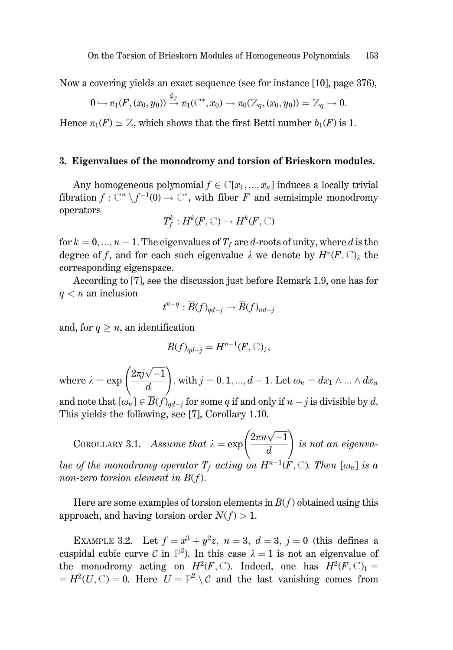Now a covering vields an exact sequence (see for instance [10], page 376).

$$
0 \hookrightarrow \pi_1(F, (x_0, y_0)) \stackrel{\varphi_{\#}}{\rightarrow} \pi_1(\mathbb{C}^*, x_0) \longrightarrow \pi_0(\mathbb{Z}_q, (x_0, y_0)) = \mathbb{Z}_q \longrightarrow 0.
$$

Hence  $\pi_1(F) \simeq \mathbb{Z}$ , which shows that the first Betti number  $b_1(F)$  is 1.

#### 3. Eigenvalues of the monodromy and torsion of Brieskorn modules.

Any homogeneous polynomial  $f \in \mathbb{C}[x_1, ..., x_n]$  induces a locally trivial fibration  $f: \mathbb{C}^n \setminus f^{-1}(0) \to \mathbb{C}^*$ , with fiber F and semisimple monodromy operators

$$
T_f^k: H^k(F, \mathbb{C}) \to H^k(F, \mathbb{C})
$$

for  $k = 0, ..., n - 1$ . The eigenvalues of  $T_f$  are d-roots of unity, where d is the degree of f, and for each such eigenvalue  $\lambda$  we denote by  $H^*(F, \mathbb{C})_\lambda$  the corresponding eigenspace.

According to [7], see the discussion just before Remark 1.9, one has for  $q < n$  an inclusion

$$
t^{n-q} : \overline{B}(f)_{qd-j} \to \overline{B}(f)_{nd-j}
$$

and, for  $q \geq n$ , an identification

$$
\overline{B}(f)_{qd-j} = H^{n-1}(F, \mathbb{C})_{\lambda},
$$

where  $\lambda = \exp\left(\frac{2\pi j \sqrt{-1}}{d}\right)$ , with  $j = 0, 1, ..., d - 1$ . Let  $\omega_n = dx_1 \wedge ... \wedge dx_n$ and note that  $[\omega_n] \in \overline{B}(f)_{qd-j}$  for some q if and only if  $n - j$  is divisible by d. This yields the following, see [7], Corollary 1.10.

COROLLARY 3.1. Assume that  $\lambda = \exp\left(\frac{2\pi n \sqrt{-1}}{d}\right)$  is not an eigenvalue of the monodromy operator  $T_f$  acting on  $H^{n-1}(F, \mathbb{C})$ . Then  $[\omega_n]$  is a non-zero torsion element in  $B(f)$ .

Here are some examples of torsion elements in  $B(f)$  obtained using this approach, and having torsion order  $N(f) > 1$ .

EXAMPLE 3.2. Let  $f = x^3 + y^2z$ ,  $n = 3$ ,  $d = 3$ ,  $j = 0$  (this defines a cuspidal cubic curve C in  $\mathbb{P}^2$ ). In this case  $\lambda = 1$  is not an eigenvalue of the monodromy acting on  $H^2(F, \mathbb{C})$ . Indeed, one has  $H^2(F, \mathbb{C})_1$  =  $=H^2(U,\mathbb{C})=0$ . Here  $U=\mathbb{P}^2\setminus\mathcal{C}$  and the last vanishing comes from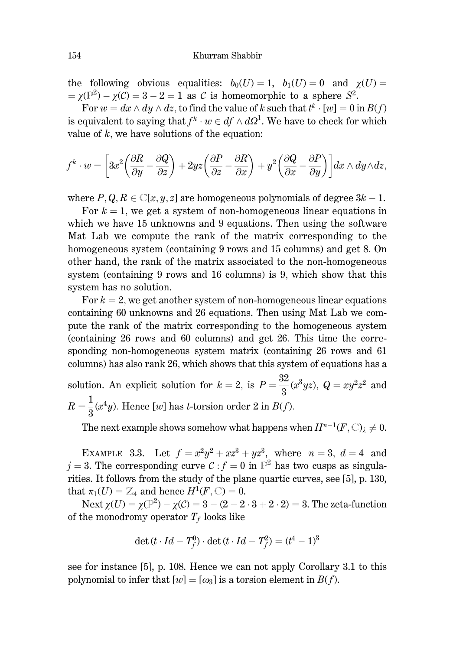the following obvious equalities:  $b_0(U) = 1$ ,  $b_1(U) = 0$  and  $\gamma(U) =$  $=\gamma(\mathbb{P}^2)-\gamma(\mathcal{C})=3-2=1$  as C is homeomorphic to a sphere  $S^2$ .

For  $w = dx \wedge dy \wedge dz$ , to find the value of k such that  $t^k \cdot [w] = 0$  in  $B(f)$ is equivalent to saying that  $f^k \cdot w \in df \wedge d\Omega^1$ . We have to check for which value of  $k$ , we have solutions of the equation:

$$
f^k \cdot w = \left[3x^2 \left(\frac{\partial R}{\partial y} - \frac{\partial Q}{\partial z}\right) + 2yz \left(\frac{\partial P}{\partial z} - \frac{\partial R}{\partial x}\right) + y^2 \left(\frac{\partial Q}{\partial x} - \frac{\partial P}{\partial y}\right)\right] dx \wedge dy \wedge dz,
$$

where  $P, Q, R \in \mathbb{C}[x, y, z]$  are homogeneous polynomials of degree  $3k - 1$ .

For  $k = 1$ , we get a system of non-homogeneous linear equations in which we have 15 unknowns and 9 equations. Then using the software Mat Lab we compute the rank of the matrix corresponding to the homogeneous system (containing 9 rows and 15 columns) and get 8. On other hand, the rank of the matrix associated to the non-homogeneous system (containing 9 rows and 16 columns) is 9, which show that this system has no solution.

For  $k = 2$ , we get another system of non-homogeneous linear equations containing 60 unknowns and 26 equations. Then using Mat Lab we compute the rank of the matrix corresponding to the homogeneous system (containing 26 rows and 60 columns) and get 26. This time the corresponding non-homogeneous system matrix (containing 26 rows and 61 columns) has also rank 26, which shows that this system of equations has a

solution. An explicit solution for  $k = 2$ , is  $P = \frac{32}{3}(x^3yz)$ ,  $Q = xy^2z^2$  and  $R=\frac{1}{2}(x^4y)$ . Hence [w] has t-torsion order 2 in  $B(f)$ .

The next example shows somehow what happens when  $H^{n-1}(F, \mathbb{C})$   $\neq 0$ .

EXAMPLE 3.3. Let  $f = x^2y^2 + xz^3 + yz^3$ , where  $n = 3$ ,  $d = 4$  and  $j = 3$ . The corresponding curve  $C : f = 0$  in  $\mathbb{P}^2$  has two cusps as singularities. It follows from the study of the plane quartic curves, see [5], p. 130, that  $\pi_1(U) = \mathbb{Z}_4$  and hence  $H^1(F, \mathbb{C}) = 0$ .

Next  $\chi(U) = \chi(\mathbb{P}^2) - \chi(C) = 3 - (2 - 2 \cdot 3 + 2 \cdot 2) = 3$ . The zeta-function of the monodromy operator  $T_f$  looks like

$$
\det(t \cdot Id - T_f^0) \cdot \det(t \cdot Id - T_f^2) = (t^4 - 1)^3
$$

see for instance [5], p. 108. Hence we can not apply Corollary 3.1 to this polynomial to infer that  $[w] = [\omega_3]$  is a torsion element in  $B(f)$ .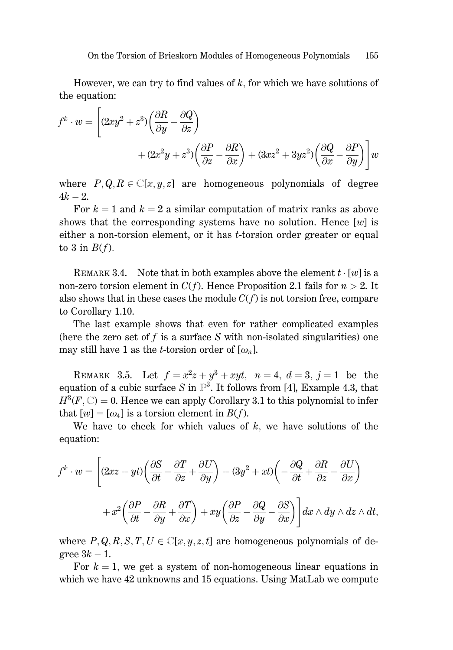However, we can try to find values of  $k$ , for which we have solutions of the equation:

$$
f^{k} \cdot w = \left[ (2xy^{2} + z^{3}) \left( \frac{\partial R}{\partial y} - \frac{\partial Q}{\partial z} \right) + (2x^{2}y + z^{3}) \left( \frac{\partial P}{\partial z} - \frac{\partial R}{\partial x} \right) + (3xz^{2} + 3yz^{2}) \left( \frac{\partial Q}{\partial x} - \frac{\partial P}{\partial y} \right) \right] w
$$

where  $P, Q, R \in \mathbb{C}[x, y, z]$  are homogeneous polynomials of degree  $4k - 2$ .

For  $k = 1$  and  $k = 2$  a similar computation of matrix ranks as above shows that the corresponding systems have no solution. Hence  $[w]$  is either a non-torsion element, or it has *t*-torsion order greater or equal to 3 in  $B(f)$ .

REMARK 3.4. Note that in both examples above the element  $t \cdot [w]$  is a non-zero torsion element in  $C(f)$ . Hence Proposition 2.1 fails for  $n > 2$ . It also shows that in these cases the module  $C(f)$  is not torsion free, compare to Corollary 1.10.

The last example shows that even for rather complicated examples (here the zero set of f is a surface S with non-isolated singularities) one may still have 1 as the *t*-torsion order of  $[\omega_n]$ .

REMARK 3.5. Let  $f = x^2z + y^3 + xyt$ ,  $n = 4$ ,  $d = 3$ ,  $j = 1$  be the equation of a cubic surface S in  $\mathbb{P}^3$ . It follows from [4], Example 4.3, that  $H^3(F, \mathbb{C}) = 0$ . Hence we can apply Corollary 3.1 to this polynomial to infer that  $[w] = [\omega_4]$  is a torsion element in  $B(f)$ .

We have to check for which values of  $k$ , we have solutions of the equation:

$$
f^{k} \cdot w = \left[ (2xz + yt) \left( \frac{\partial S}{\partial t} - \frac{\partial T}{\partial z} + \frac{\partial U}{\partial y} \right) + (3y^{2} + xt) \left( -\frac{\partial Q}{\partial t} + \frac{\partial R}{\partial z} - \frac{\partial U}{\partial x} \right) + x^{2} \left( \frac{\partial P}{\partial t} - \frac{\partial R}{\partial y} + \frac{\partial T}{\partial x} \right) + xy \left( \frac{\partial P}{\partial z} - \frac{\partial Q}{\partial y} - \frac{\partial S}{\partial x} \right) \right] dx \wedge dy \wedge dz \wedge dt,
$$

where  $P, Q, R, S, T, U \in \mathbb{C}[x, y, z, t]$  are homogeneous polynomials of degree  $3k-1$ .

For  $k = 1$ , we get a system of non-homogeneous linear equations in which we have 42 unknowns and 15 equations. Using MatLab we compute